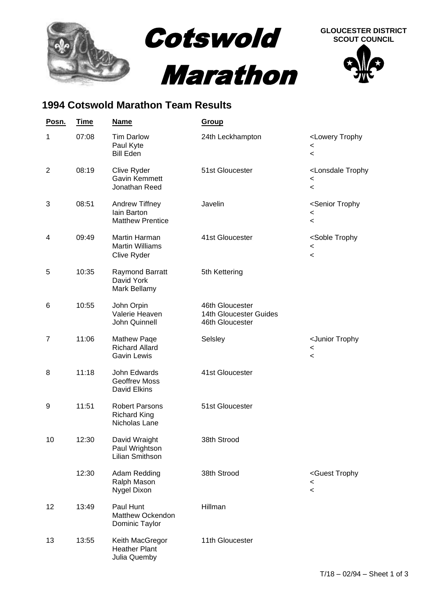

## **1994 Cotswold Marathon Team Results**

| <u>Posn.</u>   | <b>Time</b> | <b>Name</b>                                                       | <b>Group</b>                                                 |                                                                                              |
|----------------|-------------|-------------------------------------------------------------------|--------------------------------------------------------------|----------------------------------------------------------------------------------------------|
| 1              | 07:08       | <b>Tim Darlow</b><br>Paul Kyte<br><b>Bill Eden</b>                | 24th Leckhampton                                             | <lowery trophy<br=""><math>\,&lt;\,</math><br/><math>\,&lt;\,</math></lowery>                |
| $\overline{2}$ | 08:19       | Clive Ryder<br>Gavin Kemmett<br>Jonathan Reed                     | 51st Gloucester                                              | <lonsdale trophy<br=""><math>\,&lt;</math><br/><math>\,&lt;\,</math></lonsdale>              |
| 3              | 08:51       | Andrew Tiffney<br>lain Barton<br><b>Matthew Prentice</b>          | Javelin                                                      | <senior trophy<br=""><math>\,&lt;\,</math><br/><math>\prec</math></senior>                   |
| 4              | 09:49       | Martin Harman<br><b>Martin Williams</b><br>Clive Ryder            | 41st Gloucester                                              | <soble trophy<br=""><math>\,&lt;\,</math><br/><math>\,&lt;\,</math></soble>                  |
| 5              | 10:35       | Raymond Barratt<br>David York<br>Mark Bellamy                     | 5th Kettering                                                |                                                                                              |
| 6              | 10:55       | John Orpin<br>Valerie Heaven<br>John Quinnell                     | 46th Gloucester<br>14th Gloucester Guides<br>46th Gloucester |                                                                                              |
| 7              | 11:06       | <b>Mathew Page</b><br><b>Richard Allard</b><br><b>Gavin Lewis</b> | Selsley                                                      | <junior trophy<br=""><math>\,&lt;\,</math><br/><math display="inline">\,&lt;</math></junior> |
| 8              | 11:18       | John Edwards<br><b>Geoffrev Moss</b><br>David Elkins              | 41st Gloucester                                              |                                                                                              |
| 9              | 11:51       | <b>Robert Parsons</b><br><b>Richard King</b><br>Nicholas Lane     | 51st Gloucester                                              |                                                                                              |
| 10             | 12:30       | David Wraight<br>Paul Wrightson<br>Lilian Smithson                | 38th Strood                                                  |                                                                                              |
|                | 12:30       | Adam Redding<br>Ralph Mason<br>Nygel Dixon                        | 38th Strood                                                  | <guest trophy<br=""><math>\,&lt;\,</math><br/><math>\,&lt;\,</math></guest>                  |
| 12             | 13:49       | Paul Hunt<br>Matthew Ockendon<br>Dominic Taylor                   | Hillman                                                      |                                                                                              |
| 13             | 13:55       | Keith MacGregor<br><b>Heather Plant</b><br>Julia Quemby           | 11th Gloucester                                              |                                                                                              |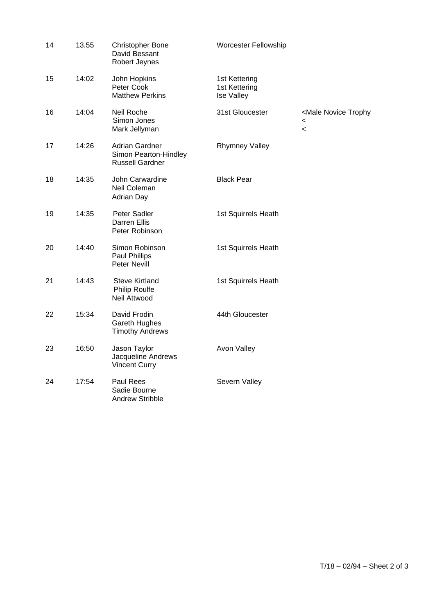| 14 | 13.55 | <b>Christopher Bone</b><br>David Bessant<br>Robert Jeynes         | Worcester Fellowship                         |                                                                                   |
|----|-------|-------------------------------------------------------------------|----------------------------------------------|-----------------------------------------------------------------------------------|
| 15 | 14:02 | John Hopkins<br>Peter Cook<br><b>Matthew Perkins</b>              | 1st Kettering<br>1st Kettering<br>Ise Valley |                                                                                   |
| 16 | 14:04 | Neil Roche<br>Simon Jones<br>Mark Jellyman                        | 31st Gloucester                              | <male novice="" trophy<br=""><math>\,&lt;</math><br/><math>\,&lt;\,</math></male> |
| 17 | 14:26 | Adrian Gardner<br>Simon Pearton-Hindley<br><b>Russell Gardner</b> | <b>Rhymney Valley</b>                        |                                                                                   |
| 18 | 14:35 | John Carwardine<br>Neil Coleman<br><b>Adrian Day</b>              | <b>Black Pear</b>                            |                                                                                   |
| 19 | 14:35 | Peter Sadler<br>Darren Ellis<br>Peter Robinson                    | 1st Squirrels Heath                          |                                                                                   |
| 20 | 14:40 | Simon Robinson<br>Paul Phillips<br>Peter Nevill                   | 1st Squirrels Heath                          |                                                                                   |
| 21 | 14:43 | <b>Steve Kirtland</b><br><b>Philip Roulfe</b><br>Neil Attwood     | 1st Squirrels Heath                          |                                                                                   |
| 22 | 15:34 | David Frodin<br>Gareth Hughes<br><b>Timothy Andrews</b>           | 44th Gloucester                              |                                                                                   |
| 23 | 16:50 | Jason Taylor<br>Jacqueline Andrews<br><b>Vincent Curry</b>        | <b>Avon Valley</b>                           |                                                                                   |
| 24 | 17:54 | Paul Rees<br>Sadie Bourne<br>Andrew Stribble                      | Severn Valley                                |                                                                                   |